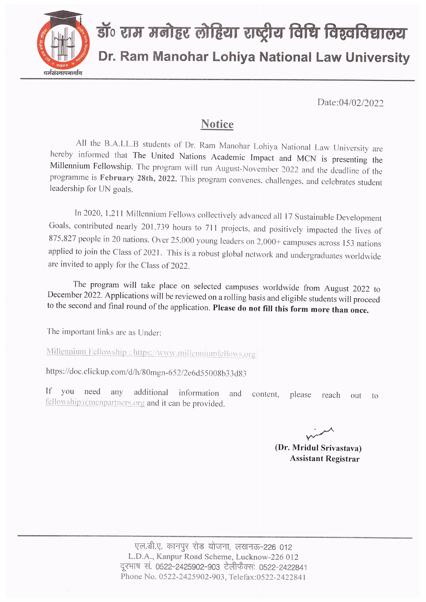

Date:04/02/2022

## **Notice**

All the B.A.LL.B students of Dr. Ram Manohar Lohiya National Law University are hereby informed that The United Nations Academic Impact and MCN is presenting the Millennium Fellowship. The program will run August-November 2022 and the deadline of the programme is February 28th, 2022. This program convenes, challenges, and celebrates student leadership for UN goals.

In 2020, 1,211 Millennium Fellows collectively advanced all 17 Sustainable Development Goals, contributed nearly 201,739 hours to 711 projects, and positively impacted the lives of 875,827 people in 20 nations. Over 25,000 young leaders on 2,000+ campuses across 153 nations applied to join the Class of 2021. This is a robust global network and undergraduates worldwide are invited to apply for the Class of 2022.

The program will take place on selected campuses worldwide from August 2022 to December 2022. Applications will be reviewed on a rolling basis and eligible students will proceed to the second and final round of the application. Please do not fill this form more than once.

The important links are as Under:

Millennium Fellowship: https://www.millenniumfellows.org/

https://doc.clickup.com/d/h/80mgn-652/2e6d55008b33d83

 $If$ vou need any additional information and content. please reach out  $\mathfrak{t}_0$ fellowship@mcnpartners.org and it can be provided.

(Dr. Mridul Srivastava) **Assistant Registrar**